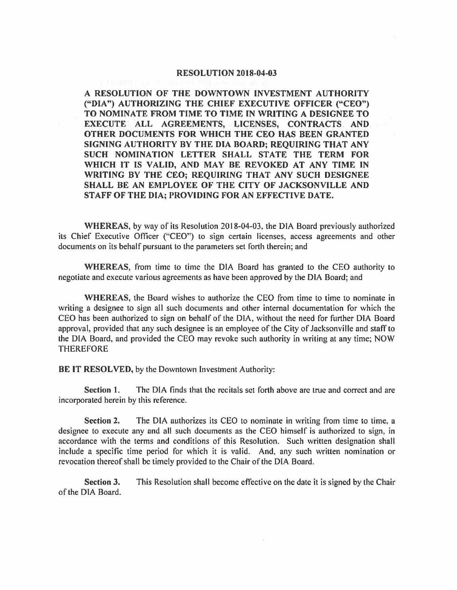## **RESOLUTION 2018-04-03**

**A RESOLUTION OF THE DOWNTOWN INVESTMENT AUTHORITY ("DIA") AUTHORIZING THE CHIEF EXECUTIVE OFFICER ("CEO") TO NOMINATE FROM TIME TO TIME IN WRITING A DESIGNEE TO EXECUTE ALL AGREEMENTS, LICENSES, CONTRACTS AND OTHER DOCUMENTS FOR WHICH THE CEO HAS BEEN GRANTED SIGNING AUTHORITY BY THE DIA BOARD; REQUIRING THAT ANY SUCH NOMINATION LETTER SHALL STATE THE TERM FOR WHICH IT IS VALID, AND MAY BE REVOKED AT ANY TIME IN WRITING BY THE CEO; REQUIRING THAT ANY SUCH DESIGNEE SHALL BE AN EMPLOYEE OF THE CITY OF JACKSONVILLE AND STAFF OF THE DIA; PROVIDING FOR AN EFFECTIVE DATE.** 

**WHEREAS,** by way of its Resolution 2018-04-03, the DIA Board previously authorized its Chief Executive Officer ("CEO'') to sign certain licenses, access agreements and other documents on its behalf pursuant to the parameters set forth therein; and

**WHEREAS,** from time to time the DIA Board has granted to the CEO authority to negotiate and execute various agreements as have been approved by the DIA Board; and

**WHEREAS,** the Board wishes to authorize the CEO from time to time to nominate in writing a designee to sign all such documents and other internal documentation for which the CEO has been authorized to sign on behalf of the DIA, without the need for further DIA Board approval, provided that any such designee is an employee of the City of Jacksonville and staff to the DIA Board, and provided the CEO may revoke such authority in writing at any time; NOW **THEREFORE** 

**BE IT RESOLVED,** by the Downtown Investment Authority:

**Section 1.** The DIA finds that the recitals set forth above are true and correct and are incorporated herein by this reference.

**Section 2.** The DIA authorizes its CEO to nominate in writing from time to time, a designee to execute any and all such documents as the CEO himself is authorized to sign, in accordance with the terms and conditions of this Resolution. Such written designation shall include a specific time period for which it is valid. And, any such written nomination or revocation thereof shall be timely provided to the Chair of the DIA Board.

**Section 3.** This Resolution shall become effective on the date it is signed by the Chair of the DIA Board.